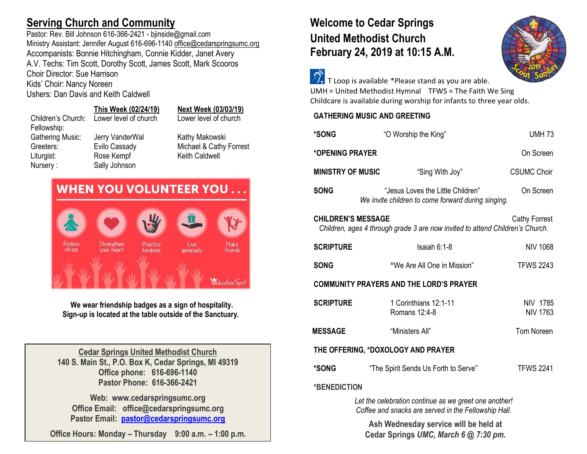# **Serving Church and Community**

Pastor: Rev. Bill Johnson 616-366-2421 - bjinside@gmail.com Ministry Assistant: Jennifer August 616-696-1140 [office@cedarspringsumc.org](mailto:office@cedarspringsumc.org) Accompanists: Bonnie Hitchingham, Connie Kidder, Janet Avery A.V. Techs: Tim Scott, Dorothy Scott, James Scott, Mark Scooros Choir Director: Sue Harrison

Kids' Choir: Nancy Noreen

Ushers: Dan Davis and Keith Caldwell

Nursery : Sally Johnson

### **This Week (02/24/19) Next Week (03/03/19)** Children's Church: Lower level of church Lower level of church Fellowship: Gathering Music: Jerry VanderWal Kathy Makowski Greeters: Evilo Cassady Michael & Cathy Forrest Liturgist: Rose Kempf Keith Caldwell



**We wear friendship badges as a sign of hospitality. Sign-up is located at the table outside of the Sanctuary.**

**Cedar Springs United Methodist Church 140 S. Main St., P.O. Box K, Cedar Springs, MI 49319 Office phone: 616-696-1140 Pastor Phone: 616-366-2421**

**Web: www.cedarspringsumc.org Office Email: office@cedarspringsumc.org Pastor Email: [pastor@cedarspringsumc.org](mailto:pastor@cedarspringsumc.org)**

**Office Hours: Monday – Thursday 9:00 a.m. – 1:00 p.m.**

# **Welcome to Cedar Springs United Methodist Church February 24, 2019 at 10:15 A.M.**



 $\widehat{\mathcal{D}}_{\mathbf{r}}$  T Loop is available \*Please stand as you are able. UMH = United Methodist Hymnal TFWS = The Faith We Sing Childcare is available during worship for infants to three year olds.

**GATHERING MUSIC AND GREETING**

| *SONG                                                                                                                              | "O Worship the King"                                                                    | <b>UMH 73</b>                      |  |  |
|------------------------------------------------------------------------------------------------------------------------------------|-----------------------------------------------------------------------------------------|------------------------------------|--|--|
| *OPENING PRAYER                                                                                                                    |                                                                                         | On Screen                          |  |  |
| <b>MINISTRY OF MUSIC</b>                                                                                                           | "Sing With Joy"                                                                         | <b>CSUMC Choir</b>                 |  |  |
| <b>SONG</b>                                                                                                                        | "Jesus Loves the Little Children"<br>We invite children to come forward during singing. | On Screen                          |  |  |
| <b>CHILDREN'S MESSAGE</b><br><b>Cathy Forrest</b><br>Children, ages 4 through grade 3 are now invited to attend Children's Church. |                                                                                         |                                    |  |  |
| <b>SCRIPTURE</b>                                                                                                                   | Isaiah 6:1-8                                                                            | <b>NIV 1068</b>                    |  |  |
| <b>SONG</b>                                                                                                                        | "We Are All One in Mission"                                                             | <b>TFWS 2243</b>                   |  |  |
| <b>COMMUNITY PRAYERS AND THE LORD'S PRAYER</b>                                                                                     |                                                                                         |                                    |  |  |
| <b>SCRIPTURE</b>                                                                                                                   | 1 Corinthians 12:1-11<br>Romans 12:4-8                                                  | <b>NIV 1785</b><br><b>NIV 1763</b> |  |  |
| <b>MESSAGE</b>                                                                                                                     | "Ministers All"                                                                         | <b>Tom Noreen</b>                  |  |  |
| THE OFFERING, *DOXOLOGY AND PRAYER                                                                                                 |                                                                                         |                                    |  |  |
| *SONG                                                                                                                              | "The Spirit Sends Us Forth to Serve"                                                    | <b>TFWS 2241</b>                   |  |  |
| *BENEDICTION                                                                                                                       |                                                                                         |                                    |  |  |
| Let the celebration continue as we greet one another                                                                               |                                                                                         |                                    |  |  |

*Let the celebration continue as we greet one another! Coffee and snacks are served in the Fellowship Hall.*

**Ash Wednesday service will be held at Cedar Springs** *UMC, March 6 @ 7:30 pm.*